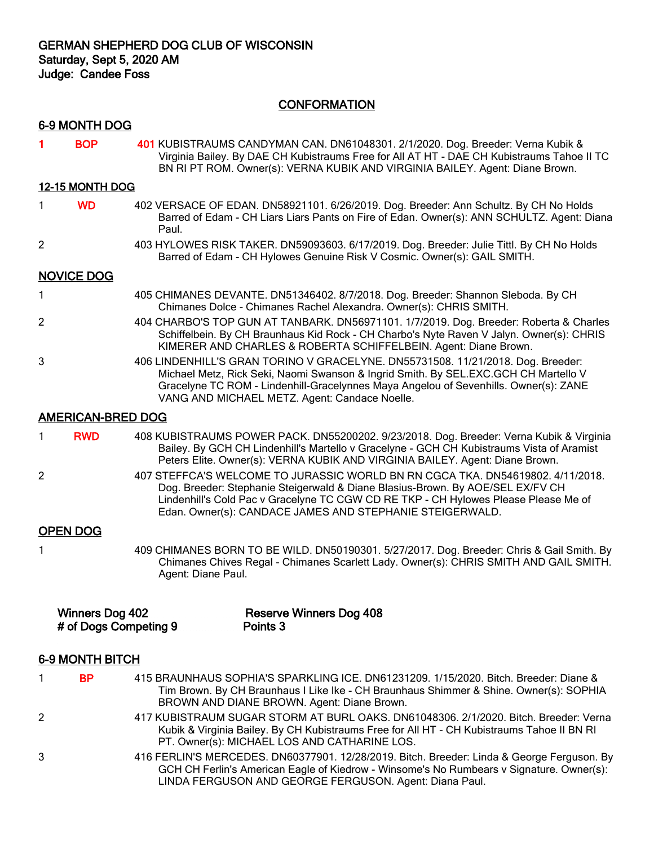## **CONFORMATION**

## 6-9 MONTH DOG

1 BOP 401 KUBISTRAUMS CANDYMAN CAN. DN61048301. 2/1/2020. Dog. Breeder: Verna Kubik & Virginia Bailey. By DAE CH Kubistraums Free for All AT HT - DAE CH Kubistraums Tahoe II TC BN RI PT ROM. Owner(s): VERNA KUBIK AND VIRGINIA BAILEY. Agent: Diane Brown.

### 12-15 MONTH DOG

- 1 WD 402 VERSACE OF EDAN. DN58921101. 6/26/2019. Dog. Breeder: Ann Schultz. By CH No Holds Barred of Edam - CH Liars Liars Pants on Fire of Edan. Owner(s): ANN SCHULTZ. Agent: Diana Paul.
- 2 403 HYLOWES RISK TAKER. DN59093603. 6/17/2019. Dog. Breeder: Julie Tittl. By CH No Holds Barred of Edam - CH Hylowes Genuine Risk V Cosmic. Owner(s): GAIL SMITH.

## NOVICE DOG

- 1 405 CHIMANES DEVANTE. DN51346402. 8/7/2018. Dog. Breeder: Shannon Sleboda. By CH Chimanes Dolce - Chimanes Rachel Alexandra. Owner(s): CHRIS SMITH.
- 2 404 CHARBO'S TOP GUN AT TANBARK. DN56971101. 1/7/2019. Dog. Breeder: Roberta & Charles Schiffelbein. By CH Braunhaus Kid Rock - CH Charbo's Nyte Raven V Jalyn. Owner(s): CHRIS KIMERER AND CHARLES & ROBERTA SCHIFFELBEIN. Agent: Diane Brown.
- 3 406 LINDENHILL'S GRAN TORINO V GRACELYNE. DN55731508. 11/21/2018. Dog. Breeder: Michael Metz, Rick Seki, Naomi Swanson & Ingrid Smith. By SEL.EXC.GCH CH Martello V Gracelyne TC ROM - Lindenhill-Gracelynnes Maya Angelou of Sevenhills. Owner(s): ZANE VANG AND MICHAEL METZ. Agent: Candace Noelle.

### AMERICAN-BRED DOG

- 1 RWD 408 KUBISTRAUMS POWER PACK. DN55200202. 9/23/2018. Dog. Breeder: Verna Kubik & Virginia Bailey. By GCH CH Lindenhill's Martello v Gracelyne - GCH CH Kubistraums Vista of Aramist Peters Elite. Owner(s): VERNA KUBIK AND VIRGINIA BAILEY. Agent: Diane Brown.
- 2 407 STEFFCA'S WELCOME TO JURASSIC WORLD BN RN CGCA TKA. DN54619802. 4/11/2018. Dog. Breeder: Stephanie Steigerwald & Diane Blasius-Brown. By AOE/SEL EX/FV CH Lindenhill's Cold Pac v Gracelyne TC CGW CD RE TKP - CH Hylowes Please Please Me of Edan. Owner(s): CANDACE JAMES AND STEPHANIE STEIGERWALD.

### OPEN DOG

1 409 CHIMANES BORN TO BE WILD. DN50190301. 5/27/2017. Dog. Breeder: Chris & Gail Smith. By Chimanes Chives Regal - Chimanes Scarlett Lady. Owner(s): CHRIS SMITH AND GAIL SMITH. Agent: Diane Paul.

| Winners Dog 402       | <b>Reserve Winners Dog 408</b> |
|-----------------------|--------------------------------|
| # of Dogs Competing 9 | Points 3                       |

#### 6-9 MONTH BITCH

- 1 BP 415 BRAUNHAUS SOPHIA'S SPARKLING ICE. DN61231209. 1/15/2020. Bitch. Breeder: Diane & Tim Brown. By CH Braunhaus I Like Ike - CH Braunhaus Shimmer & Shine. Owner(s): SOPHIA BROWN AND DIANE BROWN. Agent: Diane Brown.
- 2 417 KUBISTRAUM SUGAR STORM AT BURL OAKS. DN61048306. 2/1/2020. Bitch. Breeder: Verna Kubik & Virginia Bailey. By CH Kubistraums Free for All HT - CH Kubistraums Tahoe II BN RI PT. Owner(s): MICHAEL LOS AND CATHARINE LOS.
- 3 416 FERLIN'S MERCEDES. DN60377901. 12/28/2019. Bitch. Breeder: Linda & George Ferguson. By GCH CH Ferlin's American Eagle of Kiedrow - Winsome's No Rumbears v Signature. Owner(s): LINDA FERGUSON AND GEORGE FERGUSON. Agent: Diana Paul.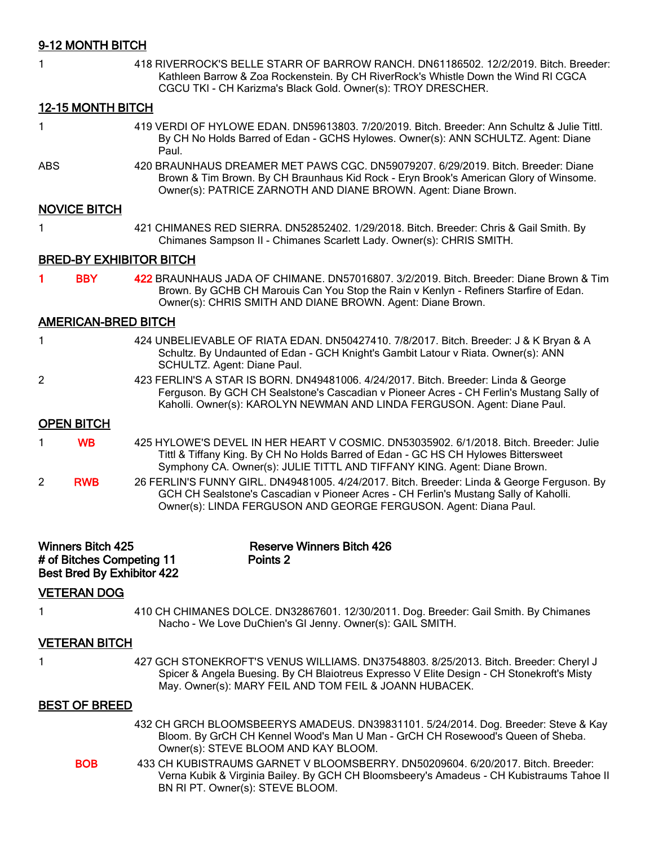# 9-12 MONTH BITCH

| 1              |                                                       | 418 RIVERROCK'S BELLE STARR OF BARROW RANCH. DN61186502. 12/2/2019. Bitch. Breeder:<br>Kathleen Barrow & Zoa Rockenstein. By CH RiverRock's Whistle Down the Wind RI CGCA<br>CGCU TKI - CH Karizma's Black Gold. Owner(s): TROY DRESCHER.                  |
|----------------|-------------------------------------------------------|------------------------------------------------------------------------------------------------------------------------------------------------------------------------------------------------------------------------------------------------------------|
|                | <b>12-15 MONTH BITCH</b>                              |                                                                                                                                                                                                                                                            |
| 1              |                                                       | 419 VERDI OF HYLOWE EDAN. DN59613803. 7/20/2019. Bitch. Breeder: Ann Schultz & Julie Tittl.<br>By CH No Holds Barred of Edan - GCHS Hylowes. Owner(s): ANN SCHULTZ. Agent: Diane<br>Paul.                                                                  |
| <b>ABS</b>     |                                                       | 420 BRAUNHAUS DREAMER MET PAWS CGC. DN59079207. 6/29/2019. Bitch. Breeder: Diane<br>Brown & Tim Brown. By CH Braunhaus Kid Rock - Eryn Brook's American Glory of Winsome.<br>Owner(s): PATRICE ZARNOTH AND DIANE BROWN. Agent: Diane Brown.                |
|                | <b>NOVICE BITCH</b>                                   |                                                                                                                                                                                                                                                            |
| 1              |                                                       | 421 CHIMANES RED SIERRA. DN52852402. 1/29/2018. Bitch. Breeder: Chris & Gail Smith. By<br>Chimanes Sampson II - Chimanes Scarlett Lady. Owner(s): CHRIS SMITH.                                                                                             |
|                |                                                       | <b>BRED-BY EXHIBITOR BITCH</b>                                                                                                                                                                                                                             |
| 1              | <b>BBY</b>                                            | 422 BRAUNHAUS JADA OF CHIMANE, DN57016807, 3/2/2019, Bitch, Breeder; Diane Brown & Tim<br>Brown. By GCHB CH Marouis Can You Stop the Rain v Kenlyn - Refiners Starfire of Edan.<br>Owner(s): CHRIS SMITH AND DIANE BROWN. Agent: Diane Brown.              |
|                | <b>AMERICAN-BRED BITCH</b>                            |                                                                                                                                                                                                                                                            |
| 1              |                                                       | 424 UNBELIEVABLE OF RIATA EDAN. DN50427410. 7/8/2017. Bitch. Breeder: J & K Bryan & A<br>Schultz. By Undaunted of Edan - GCH Knight's Gambit Latour v Riata. Owner(s): ANN<br>SCHULTZ. Agent: Diane Paul.                                                  |
| 2              |                                                       | 423 FERLIN'S A STAR IS BORN. DN49481006. 4/24/2017. Bitch. Breeder: Linda & George<br>Ferguson. By GCH CH Sealstone's Cascadian v Pioneer Acres - CH Ferlin's Mustang Sally of<br>Kaholli. Owner(s): KAROLYN NEWMAN AND LINDA FERGUSON. Agent: Diane Paul. |
|                | <b>OPEN BITCH</b>                                     |                                                                                                                                                                                                                                                            |
| 1              | <b>WB</b>                                             | 425 HYLOWE'S DEVEL IN HER HEART V COSMIC. DN53035902. 6/1/2018. Bitch. Breeder: Julie<br>Tittl & Tiffany King. By CH No Holds Barred of Edan - GC HS CH Hylowes Bittersweet<br>Symphony CA. Owner(s): JULIE TITTL AND TIFFANY KING. Agent: Diane Brown.    |
| $\overline{2}$ | <b>RWB</b>                                            | 26 FERLIN'S FUNNY GIRL. DN49481005. 4/24/2017. Bitch. Breeder: Linda & George Ferguson. By<br>GCH CH Sealstone's Cascadian v Pioneer Acres - CH Ferlin's Mustang Sally of Kaholli.<br>Owner(s): LINDA FERGUSON AND GEORGE FERGUSON. Agent: Diana Paul.     |
|                | <b>Winners Bitch 425</b><br># of Bitches Competing 11 | <b>Reserve Winners Bitch 426</b><br>Points <sub>2</sub><br><b>Best Bred By Exhibitor 422</b>                                                                                                                                                               |
|                | <b>VETERAN DOG</b>                                    |                                                                                                                                                                                                                                                            |
| 1              |                                                       | 410 CH CHIMANES DOLCE. DN32867601. 12/30/2011. Dog. Breeder: Gail Smith. By Chimanes<br>Nacho - We Love DuChien's GI Jenny. Owner(s): GAIL SMITH.                                                                                                          |
|                | <b>VETERAN BITCH</b>                                  |                                                                                                                                                                                                                                                            |
| 1              |                                                       | 427 GCH STONEKROFT'S VENUS WILLIAMS. DN37548803. 8/25/2013. Bitch. Breeder: Cheryl J<br>Spicer & Angela Buesing. By CH Blaiotreus Expresso V Elite Design - CH Stonekroft's Misty<br>May. Owner(s): MARY FEIL AND TOM FEIL & JOANN HUBACEK.                |
|                | <b>BEST OF BREED</b>                                  |                                                                                                                                                                                                                                                            |
|                |                                                       | 432 CH GRCH BLOOMSBEERYS AMADEUS. DN39831101. 5/24/2014. Dog. Breeder: Steve & Kay<br>Bloom. By GrCH CH Kennel Wood's Man U Man - GrCH CH Rosewood's Queen of Sheba.<br>Owner(s): STEVE BLOOM AND KAY BLOOM.                                               |
|                | <b>BOB</b>                                            | 433 CH KUBISTRAUMS GARNET V BLOOMSBERRY. DN50209604. 6/20/2017. Bitch. Breeder:                                                                                                                                                                            |

Verna Kubik & Virginia Bailey. By GCH CH Bloomsbeery's Amadeus - CH Kubistraums Tahoe II BN RI PT. Owner(s): STEVE BLOOM.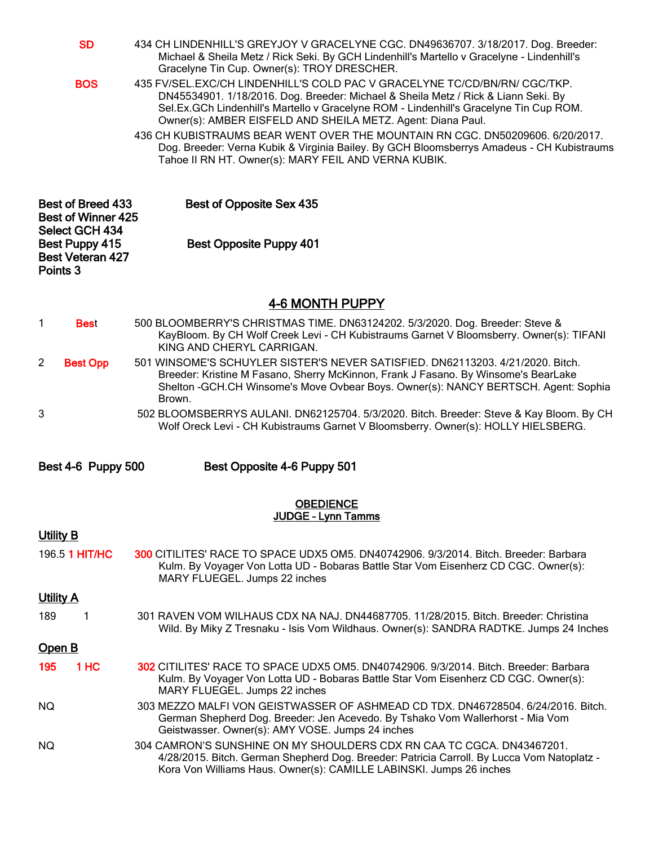| <b>SD</b>                                                                                           | 434 CH LINDENHILL'S GREYJOY V GRACELYNE CGC. DN49636707. 3/18/2017. Dog. Breeder:<br>Michael & Sheila Metz / Rick Seki. By GCH Lindenhill's Martello v Gracelyne - Lindenhill's<br>Gracelyne Tin Cup. Owner(s): TROY DRESCHER.                                                                                           |
|-----------------------------------------------------------------------------------------------------|--------------------------------------------------------------------------------------------------------------------------------------------------------------------------------------------------------------------------------------------------------------------------------------------------------------------------|
| <b>BOS</b>                                                                                          | 435 FV/SEL.EXC/CH LINDENHILL'S COLD PAC V GRACELYNE TC/CD/BN/RN/ CGC/TKP.<br>DN45534901. 1/18/2016. Dog. Breeder: Michael & Sheila Metz / Rick & Liann Seki. By<br>Sel.Ex.GCh Lindenhill's Martello v Gracelyne ROM - Lindenhill's Gracelyne Tin Cup ROM.<br>Owner(s): AMBER EISFELD AND SHEILA METZ. Agent: Diana Paul. |
|                                                                                                     | 436 CH KUBISTRAUMS BEAR WENT OVER THE MOUNTAIN RN CGC, DN50209606, 6/20/2017.<br>Dog. Breeder: Verna Kubik & Virginia Bailey. By GCH Bloomsberrys Amadeus - CH Kubistraums<br>Tahoe II RN HT. Owner(s): MARY FEIL AND VERNA KUBIK.                                                                                       |
| <b>Best of Breed 433</b><br>Best of Opposite Sex 435<br><b>Best of Winner 425</b><br>Select GCH 434 |                                                                                                                                                                                                                                                                                                                          |
| Best Puppy 415<br><b>Best Veteran 427</b><br>Points 3                                               | <b>Best Opposite Puppy 401</b>                                                                                                                                                                                                                                                                                           |
|                                                                                                     | 4-6 MONTH PUPPY                                                                                                                                                                                                                                                                                                          |
| 1<br><b>Best</b>                                                                                    | 500 BLOOMBERRY'S CHRISTMAS TIME. DN63124202. 5/3/2020. Dog. Breeder: Steve &<br>KayBloom. By CH Wolf Creek Levi - CH Kubistraums Garnet V Bloomsberry. Owner(s): TIFANI<br>KING AND CHERYL CARRIGAN.                                                                                                                     |
| $\overline{2}$<br><b>Best Opp</b>                                                                   | 501 WINSOME'S SCHUYLER SISTER'S NEVER SATISFIED. DN62113203. 4/21/2020. Bitch.<br>Breeder: Kristine M Fasano, Sherry McKinnon, Frank J Fasano. By Winsome's BearLake<br>Shelton - GCH.CH Winsome's Move Ovbear Boys. Owner(s): NANCY BERTSCH. Agent: Sophia<br>Brown.                                                    |
| 3                                                                                                   | 502 BLOOMSBERRYS AULANI. DN62125704. 5/3/2020. Bitch. Breeder: Steve & Kay Bloom. By CH<br>Wolf Oreck Levi - CH Kubistraums Garnet V Bloomsberry. Owner(s): HOLLY HIELSBERG.                                                                                                                                             |
| Best 4-6 Puppy 500                                                                                  | Best Opposite 4-6 Puppy 501                                                                                                                                                                                                                                                                                              |
|                                                                                                     | <b>OBEDIENCE</b><br>JUDGE - Lynn Tamms                                                                                                                                                                                                                                                                                   |
| Utility B                                                                                           |                                                                                                                                                                                                                                                                                                                          |
| 196.5 1 HIT/HC                                                                                      | 300 CITILITES' RACE TO SPACE UDX5 OM5. DN40742906. 9/3/2014. Bitch. Breeder: Barbara<br>Kulm. By Voyager Von Lotta UD - Bobaras Battle Star Vom Eisenherz CD CGC. Owner(s):<br>MARY FLUEGEL. Jumps 22 inches                                                                                                             |
| <b>Utility A</b>                                                                                    |                                                                                                                                                                                                                                                                                                                          |
| 189<br>1                                                                                            | 301 RAVEN VOM WILHAUS CDX NA NAJ. DN44687705. 11/28/2015. Bitch. Breeder: Christina<br>Wild. By Miky Z Tresnaku - Isis Vom Wildhaus. Owner(s): SANDRA RADTKE. Jumps 24 Inches                                                                                                                                            |
| <u>Open B</u>                                                                                       |                                                                                                                                                                                                                                                                                                                          |
| 1 HC<br>195                                                                                         | 302 CITILITES' RACE TO SPACE UDX5 OM5. DN40742906. 9/3/2014. Bitch. Breeder: Barbara<br>Kulm. By Voyager Von Lotta UD - Bobaras Battle Star Vom Eisenherz CD CGC. Owner(s):<br>MARY FLUEGEL. Jumps 22 inches                                                                                                             |
| NQ.                                                                                                 | 303 MEZZO MALFI VON GEISTWASSER OF ASHMEAD CD TDX. DN46728504. 6/24/2016. Bitch.<br>German Shepherd Dog. Breeder: Jen Acevedo. By Tshako Vom Wallerhorst - Mia Vom<br>Geistwasser. Owner(s): AMY VOSE. Jumps 24 inches                                                                                                   |
| NQ.                                                                                                 | 304 CAMRON'S SUNSHINE ON MY SHOULDERS CDX RN CAA TC CGCA, DN43467201.<br>4/28/2015. Bitch. German Shepherd Dog. Breeder: Patricia Carroll. By Lucca Vom Natoplatz -<br>Kora Von Williams Haus. Owner(s): CAMILLE LABINSKI. Jumps 26 inches                                                                               |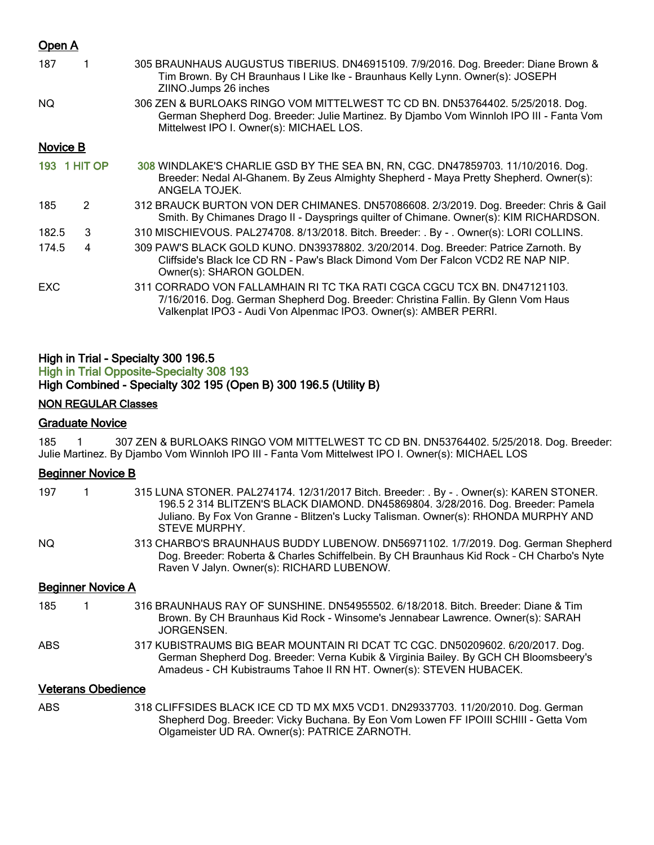## Open A

| 187        |                     | 305 BRAUNHAUS AUGUSTUS TIBERIUS. DN46915109. 7/9/2016. Dog. Breeder: Diane Brown &<br>Tim Brown. By CH Braunhaus I Like Ike - Braunhaus Kelly Lynn. Owner(s): JOSEPH<br>ZIINO.Jumps 26 inches                                    |
|------------|---------------------|----------------------------------------------------------------------------------------------------------------------------------------------------------------------------------------------------------------------------------|
| NQ.        |                     | 306 ZEN & BURLOAKS RINGO VOM MITTELWEST TC CD BN. DN53764402. 5/25/2018. Dog.<br>German Shepherd Dog. Breeder: Julie Martinez. By Djambo Vom Winnloh IPO III - Fanta Vom<br>Mittelwest IPO I. Owner(s): MICHAEL LOS.             |
| Novice B   |                     |                                                                                                                                                                                                                                  |
|            | <b>193 1 HIT OP</b> | 308 WINDLAKE'S CHARLIE GSD BY THE SEA BN, RN, CGC. DN47859703. 11/10/2016. Dog.<br>Breeder: Nedal Al-Ghanem. By Zeus Almighty Shepherd - Maya Pretty Shepherd. Owner(s):<br>ANGELA TOJEK.                                        |
| 185        | $\mathcal{P}$       | 312 BRAUCK BURTON VON DER CHIMANES. DN57086608. 2/3/2019. Dog. Breeder: Chris & Gail<br>Smith. By Chimanes Drago II - Daysprings quilter of Chimane. Owner(s): KIM RICHARDSON.                                                   |
| 182.5      | 3                   | 310 MISCHIEVOUS. PAL274708. 8/13/2018. Bitch. Breeder: . By - . Owner(s): LORI COLLINS.                                                                                                                                          |
| 174.5      | 4                   | 309 PAW'S BLACK GOLD KUNO. DN39378802. 3/20/2014. Dog. Breeder: Patrice Zarnoth. By<br>Cliffside's Black Ice CD RN - Paw's Black Dimond Vom Der Falcon VCD2 RE NAP NIP.<br>Owner(s): SHARON GOLDEN.                              |
| <b>EXC</b> |                     | 311 CORRADO VON FALLAMHAIN RI TC TKA RATI CGCA CGCU TCX BN. DN47121103.<br>7/16/2016. Dog. German Shepherd Dog. Breeder: Christina Fallin. By Glenn Vom Haus<br>Valkenplat IPO3 - Audi Von Alpenmac IPO3. Owner(s): AMBER PERRI. |

## High in Trial - Specialty 300 196.5 High in Trial Opposite-Specialty 308 193 High Combined - Specialty 302 195 (Open B) 300 196.5 (Utility B)

## NON REGULAR Classes

## Graduate Novice

185 1 307 ZEN & BURLOAKS RINGO VOM MITTELWEST TC CD BN. DN53764402. 5/25/2018. Dog. Breeder: Julie Martinez. By Djambo Vom Winnloh IPO III - Fanta Vom Mittelwest IPO I. Owner(s): MICHAEL LOS

# Beginner Novice B

| 197  |                           | 315 LUNA STONER. PAL274174. 12/31/2017 Bitch. Breeder: . By - . Owner(s): KAREN STONER.<br>196.5 2 314 BLITZEN'S BLACK DIAMOND. DN45869804. 3/28/2016. Dog. Breeder: Pamela<br>Juliano. By Fox Von Granne - Blitzen's Lucky Talisman. Owner(s): RHONDA MURPHY AND<br>STEVE MURPHY. |
|------|---------------------------|------------------------------------------------------------------------------------------------------------------------------------------------------------------------------------------------------------------------------------------------------------------------------------|
| NQ.  |                           | 313 CHARBO'S BRAUNHAUS BUDDY LUBENOW. DN56971102. 1/7/2019. Dog. German Shepherd<br>Dog. Breeder: Roberta & Charles Schiffelbein. By CH Braunhaus Kid Rock - CH Charbo's Nyte<br>Raven V Jalyn. Owner(s): RICHARD LUBENOW.                                                         |
|      | <b>Beginner Novice A</b>  |                                                                                                                                                                                                                                                                                    |
| 185  | 1.                        | 316 BRAUNHAUS RAY OF SUNSHINE. DN54955502. 6/18/2018. Bitch. Breeder: Diane & Tim<br>Brown. By CH Braunhaus Kid Rock - Winsome's Jennabear Lawrence. Owner(s): SARAH<br><b>JORGENSEN.</b>                                                                                          |
| ABS. |                           | 317 KUBISTRAUMS BIG BEAR MOUNTAIN RI DCAT TC CGC. DN50209602. 6/20/2017. Dog.<br>German Shepherd Dog. Breeder: Verna Kubik & Virginia Bailey. By GCH CH Bloomsbeery's<br>Amadeus - CH Kubistraums Tahoe II RN HT. Owner(s): STEVEN HUBACEK.                                        |
|      | <b>Veterans Obedience</b> |                                                                                                                                                                                                                                                                                    |
| ABS. |                           | 318 CLIFFSIDES BLACK ICE CD TD MX MX5 VCD1. DN29337703. 11/20/2010. Dog. German<br>Shepherd Dog. Breeder: Vicky Buchana. By Eon Vom Lowen FF IPOIII SCHIII - Getta Vom<br>Olgameister UD RA. Owner(s): PATRICE ZARNOTH.                                                            |